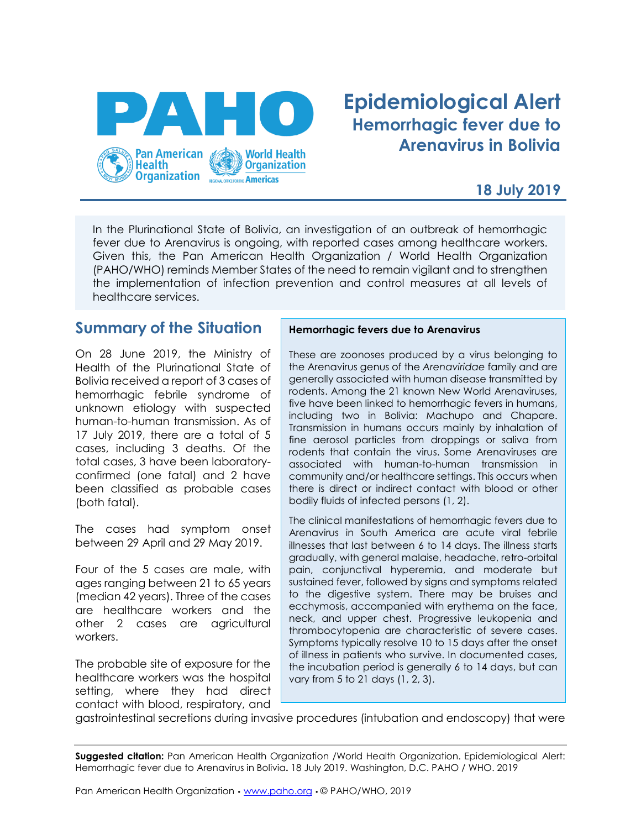

# **Epidemiological Alert Hemorrhagic fever due to Arenavirus in Bolivia**

### **18 July 2019**

In the Plurinational State of Bolivia, an investigation of an outbreak of hemorrhagic fever due to Arenavirus is ongoing, with reported cases among healthcare workers. Given this, the Pan American Health Organization / World Health Organization (PAHO/WHO) reminds Member States of the need to remain vigilant and to strengthen the implementation of infection prevention and control measures at all levels of healthcare services.

### **Summary of the Situation**

On 28 June 2019, the Ministry of Health of the Plurinational State of Bolivia received a report of 3 cases of hemorrhagic febrile syndrome of unknown etiology with suspected human-to-human transmission. As of 17 July 2019, there are a total of 5 cases, including 3 deaths. Of the total cases, 3 have been laboratoryconfirmed (one fatal) and 2 have been classified as probable cases (both fatal).

The cases had symptom onset between 29 April and 29 May 2019.

Four of the 5 cases are male, with ages ranging between 21 to 65 years (median 42 years). Three of the cases are healthcare workers and the other 2 cases are agricultural workers.

The probable site of exposure for the healthcare workers was the hospital setting, where they had direct contact with blood, respiratory, and

#### **Hemorrhagic fevers due to Arenavirus**

These are zoonoses produced by a virus belonging to the Arenavirus genus of the *Arenaviridae* family and are generally associated with human disease transmitted by rodents. Among the 21 known New World Arenaviruses, five have been linked to hemorrhagic fevers in humans, including two in Bolivia: Machupo and Chapare. Transmission in humans occurs mainly by inhalation of fine aerosol particles from droppings or saliva from rodents that contain the virus. Some Arenaviruses are associated with human-to-human transmission in community and/or healthcare settings. This occurs when there is direct or indirect contact with blood or other bodily fluids of infected persons (1, 2).

The clinical manifestations of hemorrhagic fevers due to Arenavirus in South America are acute viral febrile illnesses that last between 6 to 14 days. The illness starts gradually, with general malaise, headache, retro-orbital pain, conjunctival hyperemia, and moderate but sustained fever, followed by signs and symptoms related to the digestive system. There may be bruises and ecchymosis, accompanied with erythema on the face, neck, and upper chest. Progressive leukopenia and thrombocytopenia are characteristic of severe cases. Symptoms typically resolve 10 to 15 days after the onset of illness in patients who survive. In documented cases, the incubation period is generally 6 to 14 days, but can vary from 5 to 21 days (1, 2, 3).

gastrointestinal secretions during invasive procedures (intubation and endoscopy) that were

**Suggested citation:** Pan American Health Organization /World Health Organization. Epidemiological Alert: Hemorrhagic fever due to Arenavirus in Bolivia**.** 18 July 2019. Washington, D.C. PAHO / WHO. 2019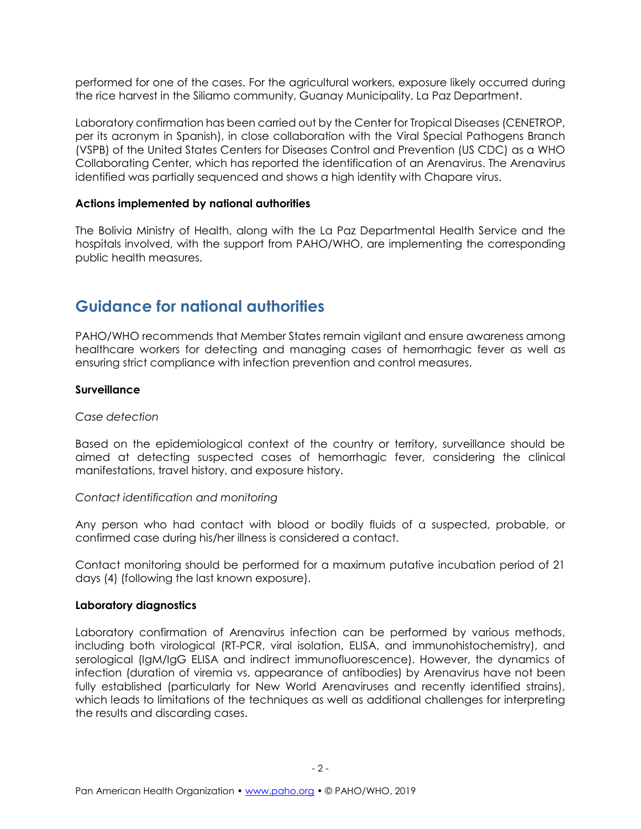performed for one of the cases. For the agricultural workers, exposure likely occurred during the rice harvest in the Siliamo community, Guanay Municipality, La Paz Department.

Laboratory confirmation has been carried out by the Center for Tropical Diseases (CENETROP, per its acronym in Spanish), in close collaboration with the Viral Special Pathogens Branch (VSPB) of the United States Centers for Diseases Control and Prevention (US CDC) as a WHO Collaborating Center, which has reported the identification of an Arenavirus. The Arenavirus identified was partially sequenced and shows a high identity with Chapare virus.

#### **Actions implemented by national authorities**

The Bolivia Ministry of Health, along with the La Paz Departmental Health Service and the hospitals involved, with the support from PAHO/WHO, are implementing the corresponding public health measures.

## **Guidance for national authorities**

PAHO/WHO recommends that Member States remain vigilant and ensure awareness among healthcare workers for detecting and managing cases of hemorrhagic fever as well as ensuring strict compliance with infection prevention and control measures.

#### **Surveillance**

#### *Case detection*

Based on the epidemiological context of the country or territory, surveillance should be aimed at detecting suspected cases of hemorrhagic fever, considering the clinical manifestations, travel history, and exposure history.

#### *Contact identification and monitoring*

Any person who had contact with blood or bodily fluids of a suspected, probable, or confirmed case during his/her illness is considered a contact.

Contact monitoring should be performed for a maximum putative incubation period of 21 days (4) (following the last known exposure).

#### **Laboratory diagnostics**

Laboratory confirmation of Arenavirus infection can be performed by various methods, including both virological (RT-PCR, viral isolation, ELISA, and immunohistochemistry), and serological (IgM/IgG ELISA and indirect immunofluorescence). However, the dynamics of infection (duration of viremia vs. appearance of antibodies) by Arenavirus have not been fully established (particularly for New World Arenaviruses and recently identified strains), which leads to limitations of the techniques as well as additional challenges for interpreting the results and discarding cases.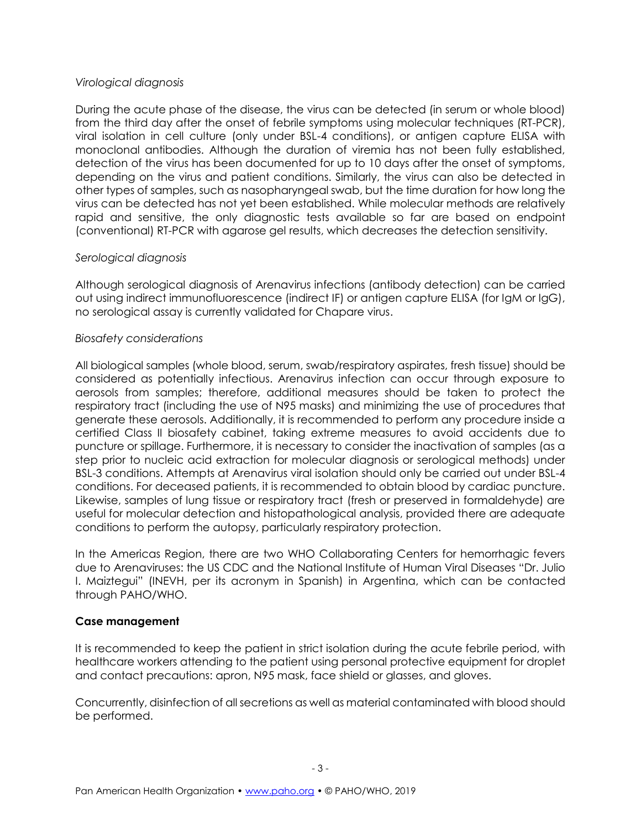#### *Virological diagnosis*

During the acute phase of the disease, the virus can be detected (in serum or whole blood) from the third day after the onset of febrile symptoms using molecular techniques (RT-PCR), viral isolation in cell culture (only under BSL-4 conditions), or antigen capture ELISA with monoclonal antibodies. Although the duration of viremia has not been fully established, detection of the virus has been documented for up to 10 days after the onset of symptoms, depending on the virus and patient conditions. Similarly, the virus can also be detected in other types of samples, such as nasopharyngeal swab, but the time duration for how long the virus can be detected has not yet been established. While molecular methods are relatively rapid and sensitive, the only diagnostic tests available so far are based on endpoint (conventional) RT-PCR with agarose gel results, which decreases the detection sensitivity.

#### *Serological diagnosis*

Although serological diagnosis of Arenavirus infections (antibody detection) can be carried out using indirect immunofluorescence (indirect IF) or antigen capture ELISA (for IgM or IgG), no serological assay is currently validated for Chapare virus.

#### *Biosafety considerations*

All biological samples (whole blood, serum, swab/respiratory aspirates, fresh tissue) should be considered as potentially infectious. Arenavirus infection can occur through exposure to aerosols from samples; therefore, additional measures should be taken to protect the respiratory tract (including the use of N95 masks) and minimizing the use of procedures that generate these aerosols. Additionally, it is recommended to perform any procedure inside a certified Class II biosafety cabinet, taking extreme measures to avoid accidents due to puncture or spillage. Furthermore, it is necessary to consider the inactivation of samples (as a step prior to nucleic acid extraction for molecular diagnosis or serological methods) under BSL-3 conditions. Attempts at Arenavirus viral isolation should only be carried out under BSL-4 conditions. For deceased patients, it is recommended to obtain blood by cardiac puncture. Likewise, samples of lung tissue or respiratory tract (fresh or preserved in formaldehyde) are useful for molecular detection and histopathological analysis, provided there are adequate conditions to perform the autopsy, particularly respiratory protection.

In the Americas Region, there are two WHO Collaborating Centers for hemorrhagic fevers due to Arenaviruses: the US CDC and the National Institute of Human Viral Diseases "Dr. Julio I. Maiztegui" (INEVH, per its acronym in Spanish) in Argentina, which can be contacted through PAHO/WHO.

#### **Case management**

It is recommended to keep the patient in strict isolation during the acute febrile period, with healthcare workers attending to the patient using personal protective equipment for droplet and contact precautions: apron, N95 mask, face shield or glasses, and gloves.

Concurrently, disinfection of all secretions as well as material contaminated with blood should be performed.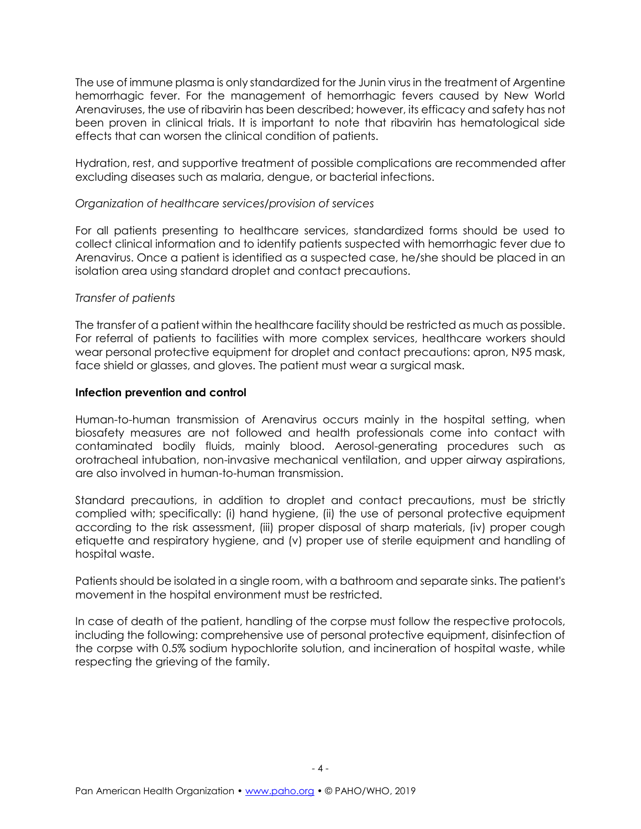The use of immune plasma is only standardized for the Junin virus in the treatment of Argentine hemorrhagic fever. For the management of hemorrhagic fevers caused by New World Arenaviruses, the use of ribavirin has been described; however, its efficacy and safety has not been proven in clinical trials. It is important to note that ribavirin has hematological side effects that can worsen the clinical condition of patients.

Hydration, rest, and supportive treatment of possible complications are recommended after excluding diseases such as malaria, dengue, or bacterial infections.

#### *Organization of healthcare services/provision of services*

For all patients presenting to healthcare services, standardized forms should be used to collect clinical information and to identify patients suspected with hemorrhagic fever due to Arenavirus. Once a patient is identified as a suspected case, he/she should be placed in an isolation area using standard droplet and contact precautions.

#### *Transfer of patients*

The transfer of a patient within the healthcare facility should be restricted as much as possible. For referral of patients to facilities with more complex services, healthcare workers should wear personal protective equipment for droplet and contact precautions: apron, N95 mask, face shield or glasses, and gloves. The patient must wear a surgical mask.

#### **Infection prevention and control**

Human-to-human transmission of Arenavirus occurs mainly in the hospital setting, when biosafety measures are not followed and health professionals come into contact with contaminated bodily fluids, mainly blood. Aerosol-generating procedures such as orotracheal intubation, non-invasive mechanical ventilation, and upper airway aspirations, are also involved in human-to-human transmission.

Standard precautions, in addition to droplet and contact precautions, must be strictly complied with; specifically: (i) hand hygiene, (ii) the use of personal protective equipment according to the risk assessment, (iii) proper disposal of sharp materials, (iv) proper cough etiquette and respiratory hygiene, and (v) proper use of sterile equipment and handling of hospital waste.

Patients should be isolated in a single room, with a bathroom and separate sinks. The patient's movement in the hospital environment must be restricted.

In case of death of the patient, handling of the corpse must follow the respective protocols, including the following: comprehensive use of personal protective equipment, disinfection of the corpse with 0.5% sodium hypochlorite solution, and incineration of hospital waste, while respecting the grieving of the family.